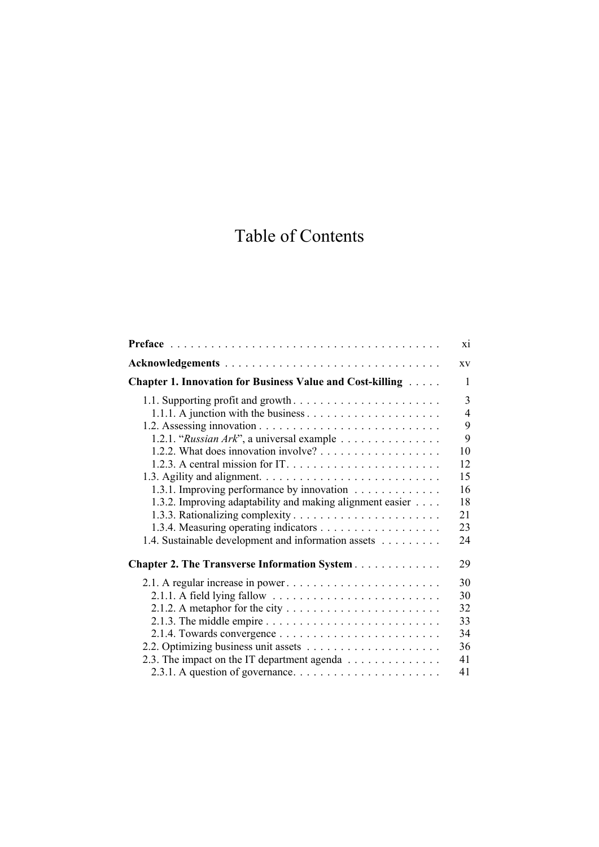## Table of Contents

|                                                                                                                                                                                                             | X1                                                               |
|-------------------------------------------------------------------------------------------------------------------------------------------------------------------------------------------------------------|------------------------------------------------------------------|
|                                                                                                                                                                                                             | XV                                                               |
| <b>Chapter 1. Innovation for Business Value and Cost-killing Alletterry</b>                                                                                                                                 | 1                                                                |
| 1.2.1. "Russian Ark", a universal example<br>1.3.1. Improving performance by innovation<br>1.3.2. Improving adaptability and making alignment easier<br>1.4. Sustainable development and information assets | 3<br>4<br>9<br>9<br>10<br>12<br>15<br>16<br>18<br>21<br>23<br>24 |
| <b>Chapter 2. The Transverse Information System</b>                                                                                                                                                         | 29                                                               |
| 2.1.3. The middle empire $\dots \dots \dots \dots \dots \dots \dots \dots \dots \dots$<br>2.3. The impact on the IT department agenda                                                                       | 30<br>30<br>32<br>33<br>34<br>36<br>41<br>41                     |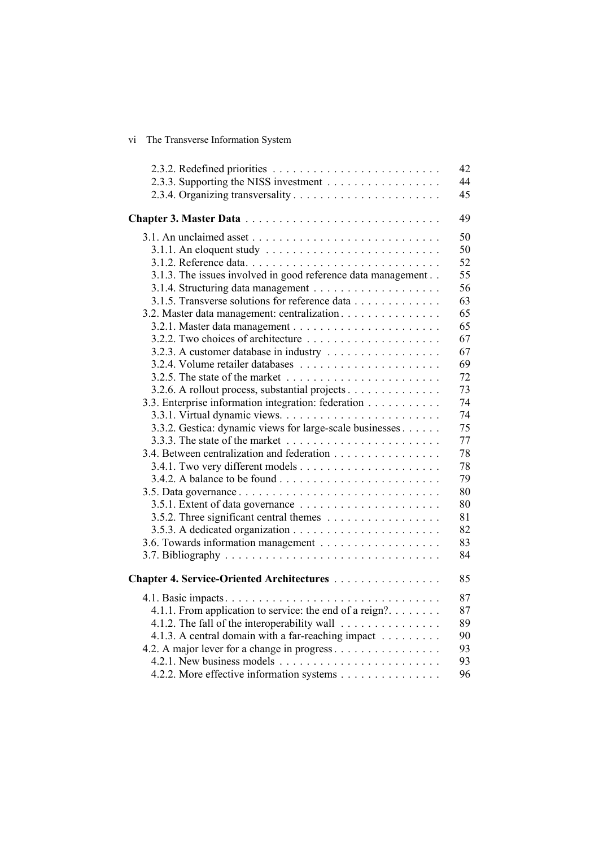| vi. | The Transverse Information System |
|-----|-----------------------------------|
|     |                                   |

|                                                                                  | 42 |
|----------------------------------------------------------------------------------|----|
|                                                                                  | 44 |
|                                                                                  | 45 |
|                                                                                  | 49 |
|                                                                                  | 50 |
|                                                                                  | 50 |
|                                                                                  | 52 |
| 3.1.3. The issues involved in good reference data management                     | 55 |
|                                                                                  | 56 |
| 3.1.5. Transverse solutions for reference data                                   | 63 |
| 3.2. Master data management: centralization.                                     | 65 |
|                                                                                  | 65 |
|                                                                                  | 67 |
|                                                                                  | 67 |
|                                                                                  | 69 |
| 3.2.5. The state of the market $\dots \dots \dots \dots \dots \dots \dots \dots$ | 72 |
| 3.2.6. A rollout process, substantial projects                                   | 73 |
| 3.3. Enterprise information integration: federation                              | 74 |
|                                                                                  | 74 |
| 3.3.2. Gestica: dynamic views for large-scale businesses                         | 75 |
|                                                                                  | 77 |
| 3.4. Between centralization and federation                                       | 78 |
|                                                                                  | 78 |
|                                                                                  | 79 |
|                                                                                  | 80 |
|                                                                                  | 80 |
|                                                                                  | 81 |
|                                                                                  | 82 |
|                                                                                  | 83 |
|                                                                                  | 84 |
| Chapter 4. Service-Oriented Architectures                                        | 85 |
|                                                                                  | 87 |
| 4.1.1. From application to service: the end of a reign?                          | 87 |
| 4.1.2. The fall of the interoperability wall                                     | 89 |
| 4.1.3. A central domain with a far-reaching impact                               | 90 |
| 4.2. A major lever for a change in progress                                      | 93 |
|                                                                                  | 93 |
| 4.2.2. More effective information systems                                        | 96 |
|                                                                                  |    |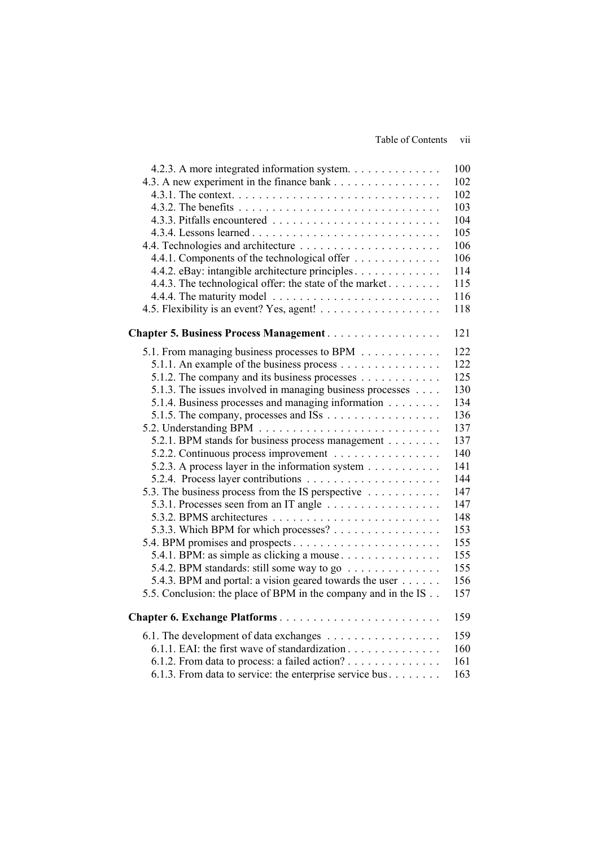## Table of Contents vii

| 4.2.3. A more integrated information system.                            | 100 |
|-------------------------------------------------------------------------|-----|
| 4.3. A new experiment in the finance bank                               | 102 |
|                                                                         | 102 |
|                                                                         | 103 |
|                                                                         | 104 |
|                                                                         | 105 |
|                                                                         | 106 |
| 4.4.1. Components of the technological offer                            | 106 |
| 4.4.2. eBay: intangible architecture principles                         | 114 |
| 4.4.3. The technological offer: the state of the market                 | 115 |
|                                                                         | 116 |
|                                                                         | 118 |
| <b>Chapter 5. Business Process Management</b>                           | 121 |
| 5.1. From managing business processes to BPM                            | 122 |
| 5.1.1. An example of the business process                               | 122 |
| 5.1.2. The company and its business processes $\dots \dots \dots \dots$ | 125 |
| 5.1.3. The issues involved in managing business processes               | 130 |
| 5.1.4. Business processes and managing information                      | 134 |
|                                                                         | 136 |
|                                                                         | 137 |
| 5.2.1. BPM stands for business process management                       | 137 |
| 5.2.2. Continuous process improvement                                   | 140 |
| 5.2.3. A process layer in the information system                        | 141 |
|                                                                         | 144 |
| 5.3. The business process from the IS perspective                       | 147 |
|                                                                         | 147 |
|                                                                         | 148 |
| 5.3.3. Which BPM for which processes?                                   | 153 |
|                                                                         | 155 |
| 5.4.1. BPM: as simple as clicking a mouse                               | 155 |
| 5.4.2. BPM standards: still some way to go $\dots \dots \dots \dots$    | 155 |
| 5.4.3. BPM and portal: a vision geared towards the user                 | 156 |
| 5.5. Conclusion: the place of BPM in the company and in the IS          | 157 |
| Chapter 6. Exchange Platforms                                           | 159 |
| 6.1. The development of data exchanges                                  | 159 |
| 6.1.1. EAI: the first wave of standardization                           | 160 |
| 6.1.2. From data to process: a failed action?                           | 161 |
| 6.1.3. From data to service: the enterprise service bus                 | 163 |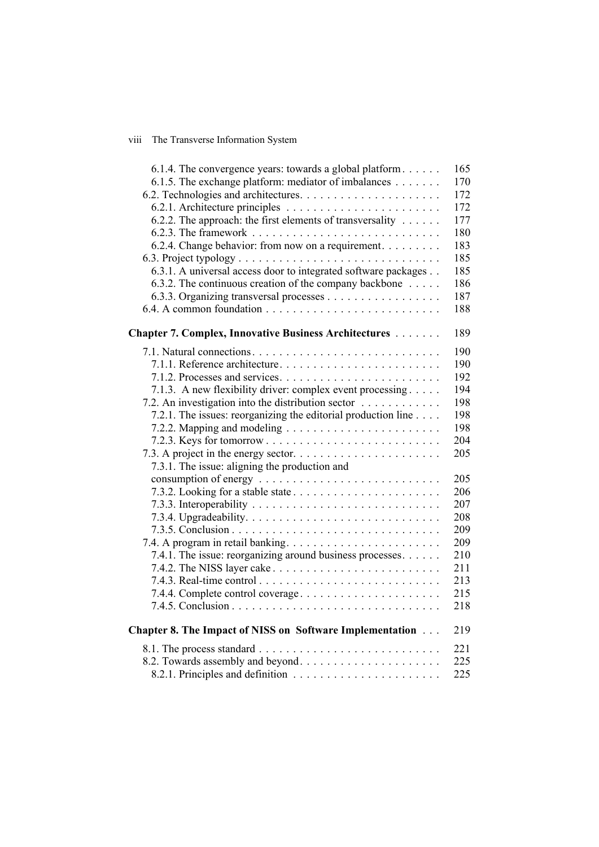## viii The Transverse Information System

| 6.1.5. The exchange platform: mediator of imbalances<br>6.2.2. The approach: the first elements of transversality<br>6.2.4. Change behavior: from now on a requirement.<br>6.3.1. A universal access door to integrated software packages<br>6.3.2. The continuous creation of the company backbone<br>Chapter 7. Complex, Innovative Business Architectures<br>7.1.3. A new flexibility driver: complex event processing<br>7.2. An investigation into the distribution sector<br>7.2.1. The issues: reorganizing the editorial production line<br>7.3.1. The issue: aligning the production and<br>7.4.1. The issue: reorganizing around business processes.<br>7.4.2. The NISS layer cake $\dots \dots \dots \dots \dots \dots \dots \dots \dots$<br>7.4.4. Complete control coverage<br>Chapter 8. The Impact of NISS on Software Implementation<br>8.2. Towards assembly and beyond | 6.1.4. The convergence years: towards a global platform | 165 |
|------------------------------------------------------------------------------------------------------------------------------------------------------------------------------------------------------------------------------------------------------------------------------------------------------------------------------------------------------------------------------------------------------------------------------------------------------------------------------------------------------------------------------------------------------------------------------------------------------------------------------------------------------------------------------------------------------------------------------------------------------------------------------------------------------------------------------------------------------------------------------------------|---------------------------------------------------------|-----|
|                                                                                                                                                                                                                                                                                                                                                                                                                                                                                                                                                                                                                                                                                                                                                                                                                                                                                          |                                                         | 170 |
|                                                                                                                                                                                                                                                                                                                                                                                                                                                                                                                                                                                                                                                                                                                                                                                                                                                                                          |                                                         | 172 |
|                                                                                                                                                                                                                                                                                                                                                                                                                                                                                                                                                                                                                                                                                                                                                                                                                                                                                          |                                                         | 172 |
|                                                                                                                                                                                                                                                                                                                                                                                                                                                                                                                                                                                                                                                                                                                                                                                                                                                                                          |                                                         | 177 |
|                                                                                                                                                                                                                                                                                                                                                                                                                                                                                                                                                                                                                                                                                                                                                                                                                                                                                          |                                                         | 180 |
|                                                                                                                                                                                                                                                                                                                                                                                                                                                                                                                                                                                                                                                                                                                                                                                                                                                                                          |                                                         | 183 |
|                                                                                                                                                                                                                                                                                                                                                                                                                                                                                                                                                                                                                                                                                                                                                                                                                                                                                          |                                                         | 185 |
|                                                                                                                                                                                                                                                                                                                                                                                                                                                                                                                                                                                                                                                                                                                                                                                                                                                                                          |                                                         | 185 |
|                                                                                                                                                                                                                                                                                                                                                                                                                                                                                                                                                                                                                                                                                                                                                                                                                                                                                          |                                                         | 186 |
|                                                                                                                                                                                                                                                                                                                                                                                                                                                                                                                                                                                                                                                                                                                                                                                                                                                                                          |                                                         | 187 |
|                                                                                                                                                                                                                                                                                                                                                                                                                                                                                                                                                                                                                                                                                                                                                                                                                                                                                          |                                                         | 188 |
|                                                                                                                                                                                                                                                                                                                                                                                                                                                                                                                                                                                                                                                                                                                                                                                                                                                                                          |                                                         | 189 |
|                                                                                                                                                                                                                                                                                                                                                                                                                                                                                                                                                                                                                                                                                                                                                                                                                                                                                          |                                                         | 190 |
|                                                                                                                                                                                                                                                                                                                                                                                                                                                                                                                                                                                                                                                                                                                                                                                                                                                                                          |                                                         | 190 |
|                                                                                                                                                                                                                                                                                                                                                                                                                                                                                                                                                                                                                                                                                                                                                                                                                                                                                          |                                                         | 192 |
|                                                                                                                                                                                                                                                                                                                                                                                                                                                                                                                                                                                                                                                                                                                                                                                                                                                                                          |                                                         | 194 |
|                                                                                                                                                                                                                                                                                                                                                                                                                                                                                                                                                                                                                                                                                                                                                                                                                                                                                          |                                                         | 198 |
|                                                                                                                                                                                                                                                                                                                                                                                                                                                                                                                                                                                                                                                                                                                                                                                                                                                                                          |                                                         | 198 |
|                                                                                                                                                                                                                                                                                                                                                                                                                                                                                                                                                                                                                                                                                                                                                                                                                                                                                          |                                                         | 198 |
|                                                                                                                                                                                                                                                                                                                                                                                                                                                                                                                                                                                                                                                                                                                                                                                                                                                                                          |                                                         | 204 |
|                                                                                                                                                                                                                                                                                                                                                                                                                                                                                                                                                                                                                                                                                                                                                                                                                                                                                          |                                                         | 205 |
|                                                                                                                                                                                                                                                                                                                                                                                                                                                                                                                                                                                                                                                                                                                                                                                                                                                                                          |                                                         |     |
|                                                                                                                                                                                                                                                                                                                                                                                                                                                                                                                                                                                                                                                                                                                                                                                                                                                                                          |                                                         | 205 |
|                                                                                                                                                                                                                                                                                                                                                                                                                                                                                                                                                                                                                                                                                                                                                                                                                                                                                          |                                                         | 206 |
|                                                                                                                                                                                                                                                                                                                                                                                                                                                                                                                                                                                                                                                                                                                                                                                                                                                                                          |                                                         | 207 |
|                                                                                                                                                                                                                                                                                                                                                                                                                                                                                                                                                                                                                                                                                                                                                                                                                                                                                          |                                                         | 208 |
|                                                                                                                                                                                                                                                                                                                                                                                                                                                                                                                                                                                                                                                                                                                                                                                                                                                                                          |                                                         | 209 |
|                                                                                                                                                                                                                                                                                                                                                                                                                                                                                                                                                                                                                                                                                                                                                                                                                                                                                          |                                                         | 209 |
|                                                                                                                                                                                                                                                                                                                                                                                                                                                                                                                                                                                                                                                                                                                                                                                                                                                                                          |                                                         | 210 |
|                                                                                                                                                                                                                                                                                                                                                                                                                                                                                                                                                                                                                                                                                                                                                                                                                                                                                          |                                                         | 211 |
|                                                                                                                                                                                                                                                                                                                                                                                                                                                                                                                                                                                                                                                                                                                                                                                                                                                                                          |                                                         | 213 |
|                                                                                                                                                                                                                                                                                                                                                                                                                                                                                                                                                                                                                                                                                                                                                                                                                                                                                          |                                                         | 215 |
|                                                                                                                                                                                                                                                                                                                                                                                                                                                                                                                                                                                                                                                                                                                                                                                                                                                                                          |                                                         | 218 |
|                                                                                                                                                                                                                                                                                                                                                                                                                                                                                                                                                                                                                                                                                                                                                                                                                                                                                          |                                                         | 219 |
|                                                                                                                                                                                                                                                                                                                                                                                                                                                                                                                                                                                                                                                                                                                                                                                                                                                                                          |                                                         | 221 |
|                                                                                                                                                                                                                                                                                                                                                                                                                                                                                                                                                                                                                                                                                                                                                                                                                                                                                          |                                                         | 225 |
|                                                                                                                                                                                                                                                                                                                                                                                                                                                                                                                                                                                                                                                                                                                                                                                                                                                                                          |                                                         | 225 |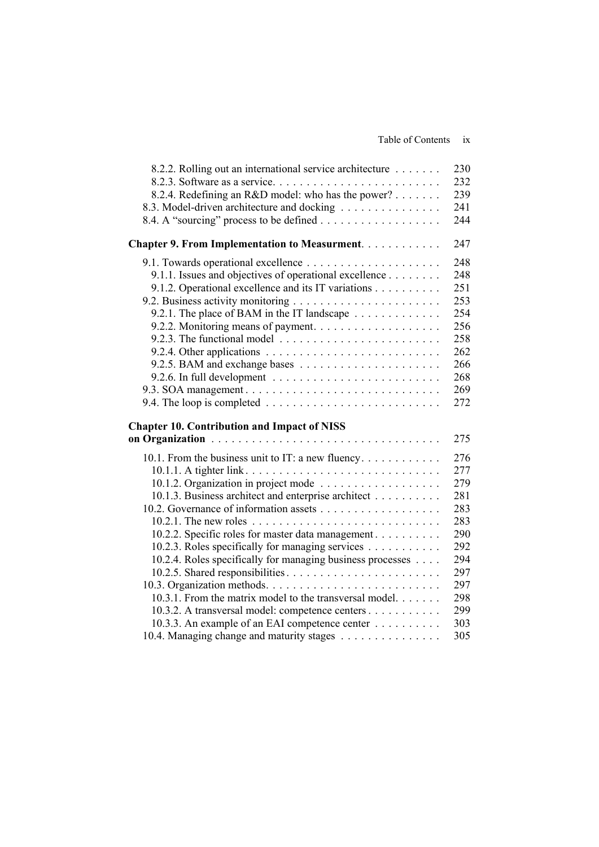| 8.2.2. Rolling out an international service architecture                             | 230 |
|--------------------------------------------------------------------------------------|-----|
|                                                                                      | 232 |
| 8.2.4. Redefining an R&D model: who has the power?                                   | 239 |
| 8.3. Model-driven architecture and docking                                           | 241 |
|                                                                                      | 244 |
| <b>Chapter 9. From Implementation to Measurment</b>                                  | 247 |
|                                                                                      | 248 |
| 9.1.1. Issues and objectives of operational excellence                               | 248 |
| 9.1.2. Operational excellence and its IT variations                                  | 251 |
|                                                                                      | 253 |
| 9.2.1. The place of BAM in the IT landscape                                          | 254 |
|                                                                                      | 256 |
|                                                                                      | 258 |
|                                                                                      | 262 |
|                                                                                      | 266 |
|                                                                                      | 268 |
|                                                                                      | 269 |
| 9.4. The loop is completed $\ldots \ldots \ldots \ldots \ldots \ldots \ldots \ldots$ | 272 |
|                                                                                      |     |
| <b>Chapter 10. Contribution and Impact of NISS</b>                                   | 275 |
|                                                                                      |     |
| 10.1. From the business unit to IT: a new fluency                                    | 276 |
| 10.1.1. A tighter link                                                               | 277 |
|                                                                                      | 279 |
| 10.1.3. Business architect and enterprise architect                                  | 281 |
|                                                                                      | 283 |
|                                                                                      | 283 |
| 10.2.2. Specific roles for master data management                                    | 290 |
| 10.2.3. Roles specifically for managing services                                     | 292 |
| 10.2.4. Roles specifically for managing business processes                           | 294 |
|                                                                                      | 297 |
|                                                                                      | 297 |
| 10.3.1. From the matrix model to the transversal model.                              | 298 |
| 10.3.2. A transversal model: competence centers                                      | 299 |
| 10.3.3. An example of an EAI competence center                                       | 303 |
| 10.4. Managing change and maturity stages                                            | 305 |